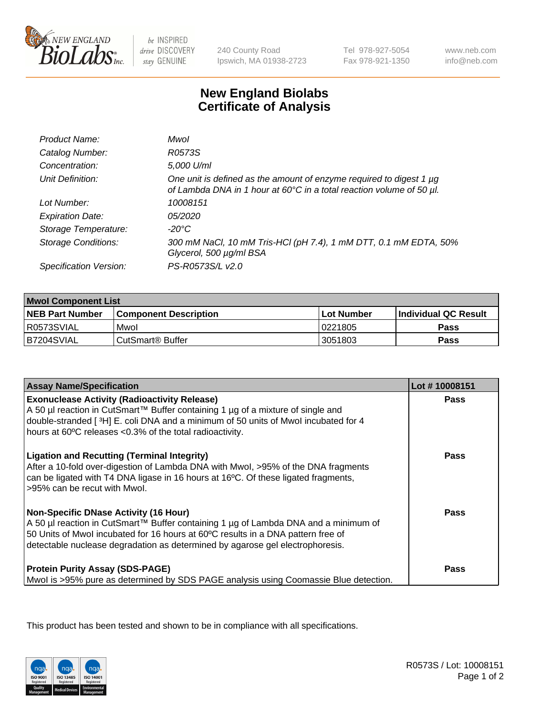

be INSPIRED drive DISCOVERY stay GENUINE

240 County Road Ipswich, MA 01938-2723 Tel 978-927-5054 Fax 978-921-1350

www.neb.com info@neb.com

## **New England Biolabs Certificate of Analysis**

| Product Name:              | Mwol                                                                                                                                        |
|----------------------------|---------------------------------------------------------------------------------------------------------------------------------------------|
| Catalog Number:            | R0573S                                                                                                                                      |
| Concentration:             | 5,000 U/ml                                                                                                                                  |
| Unit Definition:           | One unit is defined as the amount of enzyme required to digest 1 µg<br>of Lambda DNA in 1 hour at 60°C in a total reaction volume of 50 µl. |
| Lot Number:                | 10008151                                                                                                                                    |
| <b>Expiration Date:</b>    | 05/2020                                                                                                                                     |
| Storage Temperature:       | -20°C                                                                                                                                       |
| <b>Storage Conditions:</b> | 300 mM NaCl, 10 mM Tris-HCl (pH 7.4), 1 mM DTT, 0.1 mM EDTA, 50%<br>Glycerol, 500 µg/ml BSA                                                 |
| Specification Version:     | PS-R0573S/L v2.0                                                                                                                            |

| <b>Mwol Component List</b> |                              |             |                             |  |
|----------------------------|------------------------------|-------------|-----------------------------|--|
| <b>NEB Part Number</b>     | <b>Component Description</b> | ⊺Lot Number | <b>Individual QC Result</b> |  |
| R0573SVIAL                 | Mwol                         | 10221805    | Pass                        |  |
| B7204SVIAL                 | l CutSmart® Buffer_          | 3051803     | Pass                        |  |

| <b>Assay Name/Specification</b>                                                                                                                                                                                                                                                                          | Lot #10008151 |
|----------------------------------------------------------------------------------------------------------------------------------------------------------------------------------------------------------------------------------------------------------------------------------------------------------|---------------|
| <b>Exonuclease Activity (Radioactivity Release)</b><br>A 50 µl reaction in CutSmart™ Buffer containing 1 µg of a mixture of single and<br>double-stranded [3H] E. coli DNA and a minimum of 50 units of Mwol incubated for 4<br>hours at 60°C releases <0.3% of the total radioactivity.                 | <b>Pass</b>   |
| <b>Ligation and Recutting (Terminal Integrity)</b><br>After a 10-fold over-digestion of Lambda DNA with Mwol, >95% of the DNA fragments<br>can be ligated with T4 DNA ligase in 16 hours at 16°C. Of these ligated fragments,<br>>95% can be recut with Mwol.                                            | Pass          |
| <b>Non-Specific DNase Activity (16 Hour)</b><br>A 50 µl reaction in CutSmart™ Buffer containing 1 µg of Lambda DNA and a minimum of<br>50 Units of Mwol incubated for 16 hours at 60°C results in a DNA pattern free of<br>detectable nuclease degradation as determined by agarose gel electrophoresis. | Pass          |
| <b>Protein Purity Assay (SDS-PAGE)</b><br>Mwol is >95% pure as determined by SDS PAGE analysis using Coomassie Blue detection.                                                                                                                                                                           | Pass          |

This product has been tested and shown to be in compliance with all specifications.